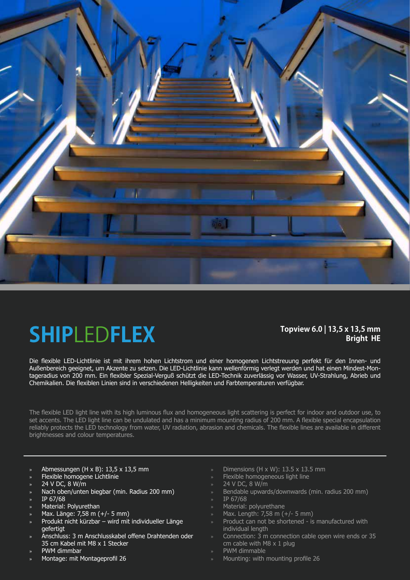

## **SHIP**LED**FLEX**

### **Topview 6.0 | 13,5 x 13,5 mm Bright HE**

Die flexible LED-Lichtlinie ist mit ihrem hohen Lichtstrom und einer homogenen Lichtstreuung perfekt für den Innen- und Außenbereich geeignet, um Akzente zu setzen. Die LED-Lichtlinie kann wellenförmig verlegt werden und hat einen Mindest-Montageradius von 200 mm. Ein flexibler Spezial-Verguß schützt die LED-Technik zuverlässig vor Wasser, UV-Strahlung, Abrieb und Chemikalien. Die flexiblen Linien sind in verschiedenen Helligkeiten und Farbtemperaturen verfügbar.

The flexible LED light line with its high luminous flux and homogeneous light scattering is perfect for indoor and outdoor use, to set accents. The LED light line can be undulated and has a minimum mounting radius of 200 mm. A flexible special encapsulation reliably protects the LED technology from water, UV radiation, abrasion and chemicals. The flexible lines are available in different brightnesses and colour temperatures.

- » Abmessungen (H x B): 13,5 x 13,5 mm
- » Flexible homogene Lichtlinie
- » 24 V DC, 8 W/m
- » Nach oben/unten biegbar (min. Radius 200 mm)
- » IP 67/68
- » Material: Polyurethan
- » Max. Länge: 7,58 m (+/- 5 mm)
- » Produkt nicht kürzbar wird mit individueller Länge gefertigt
- » Anschluss: 3 m Anschlusskabel offene Drahtenden oder 35 cm Kabel mit M8 x 1 Stecker
- » PWM dimmbar
- » Montage: mit Montageprofil 26
- » Dimensions (H x W): 13.5 x 13.5 mm
- Flexible homogeneous light line
- » 24 V DC, 8 W/m
- » Bendable upwards/downwards (min. radius 200 mm)
- » IP 67/68
- » Material: polyurethane
- » Max. Length: 7,58 m (+/- 5 mm)
- » Product can not be shortened is manufactured with individual length
- » Connection: 3 m connection cable open wire ends or 35 cm cable with M8  $\times$  1 plug
- » PWM dimmable
- » Mounting: with mounting profile 26